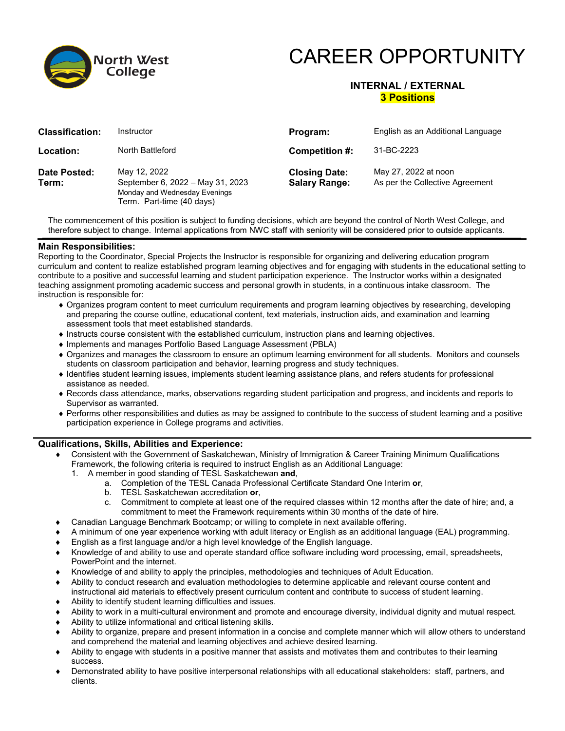

# CAREER OPPORTUNITY

# **INTERNAL / EXTERNAL 3 Positions**

| <b>Classification:</b> | Instructor                                                                                                     | Program:                                     | English as an Additional Language                       |
|------------------------|----------------------------------------------------------------------------------------------------------------|----------------------------------------------|---------------------------------------------------------|
| Location:              | North Battleford                                                                                               | Competition #:                               | 31-BC-2223                                              |
| Date Posted:<br>Term:  | May 12, 2022<br>September 6, 2022 - May 31, 2023<br>Monday and Wednesday Evenings<br>Term. Part-time (40 days) | <b>Closing Date:</b><br><b>Salary Range:</b> | May 27, 2022 at noon<br>As per the Collective Agreement |

The commencement of this position is subject to funding decisions, which are beyond the control of North West College, and therefore subject to change. Internal applications from NWC staff with seniority will be considered prior to outside applicants.

#### **Main Responsibilities:**

Reporting to the Coordinator, Special Projects the Instructor is responsible for organizing and delivering education program curriculum and content to realize established program learning objectives and for engaging with students in the educational setting to contribute to a positive and successful learning and student participation experience. The Instructor works within a designated teaching assignment promoting academic success and personal growth in students, in a continuous intake classroom. The instruction is responsible for:

- ♦ Organizes program content to meet curriculum requirements and program learning objectives by researching, developing and preparing the course outline, educational content, text materials, instruction aids, and examination and learning assessment tools that meet established standards.
- ♦ Instructs course consistent with the established curriculum, instruction plans and learning objectives.
- ♦ Implements and manages Portfolio Based Language Assessment (PBLA)
- ♦ Organizes and manages the classroom to ensure an optimum learning environment for all students. Monitors and counsels students on classroom participation and behavior, learning progress and study techniques.
- ♦ Identifies student learning issues, implements student learning assistance plans, and refers students for professional assistance as needed.
- ♦ Records class attendance, marks, observations regarding student participation and progress, and incidents and reports to Supervisor as warranted.
- ♦ Performs other responsibilities and duties as may be assigned to contribute to the success of student learning and a positive participation experience in College programs and activities.

### **Qualifications, Skills, Abilities and Experience:**

- Consistent with the Government of Saskatchewan, Ministry of Immigration & Career Training Minimum Qualifications Framework, the following criteria is required to instruct English as an Additional Language:
	- 1. A member in good standing of TESL Saskatchewan **and**,
		- a. Completion of the TESL Canada Professional Certificate Standard One Interim **or**,
			- b. TESL Saskatchewan accreditation **or**,
		- c. Commitment to complete at least one of the required classes within 12 months after the date of hire; and, a commitment to meet the Framework requirements within 30 months of the date of hire.
- ♦ Canadian Language Benchmark Bootcamp; or willing to complete in next available offering.
- ♦ A minimum of one year experience working with adult literacy or English as an additional language (EAL) programming.
- English as a first language and/or a high level knowledge of the English language.
- ♦ Knowledge of and ability to use and operate standard office software including word processing, email, spreadsheets, PowerPoint and the internet.
- ♦ Knowledge of and ability to apply the principles, methodologies and techniques of Adult Education.
- Ability to conduct research and evaluation methodologies to determine applicable and relevant course content and instructional aid materials to effectively present curriculum content and contribute to success of student learning.
- ♦ Ability to identify student learning difficulties and issues.
- Ability to work in a multi-cultural environment and promote and encourage diversity, individual dignity and mutual respect.
- Ability to utilize informational and critical listening skills.
- ♦ Ability to organize, prepare and present information in a concise and complete manner which will allow others to understand and comprehend the material and learning objectives and achieve desired learning.
- ♦ Ability to engage with students in a positive manner that assists and motivates them and contributes to their learning success.
- Demonstrated ability to have positive interpersonal relationships with all educational stakeholders: staff, partners, and clients.